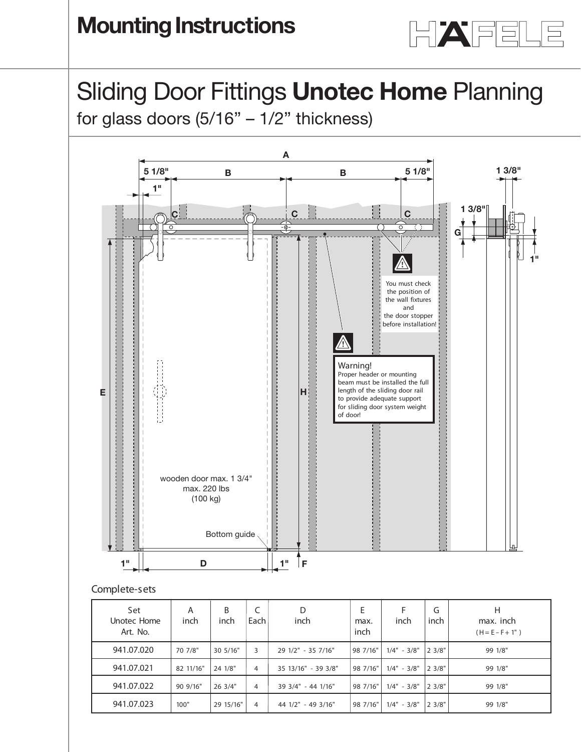

# Sliding Door Fittings **Unotec Home** Planning <u>Liding Door Eittings I</u><br>Planning

Shamig Boor Fittings **Shotes Home** Fiaming<br>for glass doors (5/16" – 1/2" thickness)



### **Complete-sets**

| Set<br>Unotec Home<br>Art. No. | A<br>inch | B<br>inch | Each           | D<br>inch           | E<br>max.<br>inch | inch          | G<br>inch | Н<br>max. inch<br>$(H = E - F + 1")$ |
|--------------------------------|-----------|-----------|----------------|---------------------|-------------------|---------------|-----------|--------------------------------------|
| 941.07.020                     | 70 7/8"   | 30 5/16"  | 3              | 29 1/2" - 35 7/16"  | 98 7/16"          | $1/4" - 3/8"$ | 23/8"     | 99 1/8"                              |
| 941.07.021                     | 82 11/16" | 24 1/8"   | 4              | 35 13/16" - 39 3/8" | 98 7/16"          | $1/4" - 3/8"$ | 23/8"     | 99 1/8"                              |
| 941.07.022                     | 90 9/16"  | 26 3/4"   | $\overline{4}$ | 39 3/4" - 44 1/16"  | 98 7/16"          | $1/4" - 3/8"$ | 2 3/8"    | 99 1/8"                              |
| 941.07.023                     | 100"      | 29 15/16" | 4              | 44 1/2" - 49 3/16"  | 98 7/16"          | $1/4" - 3/8"$ | 23/8"     | 99 1/8"                              |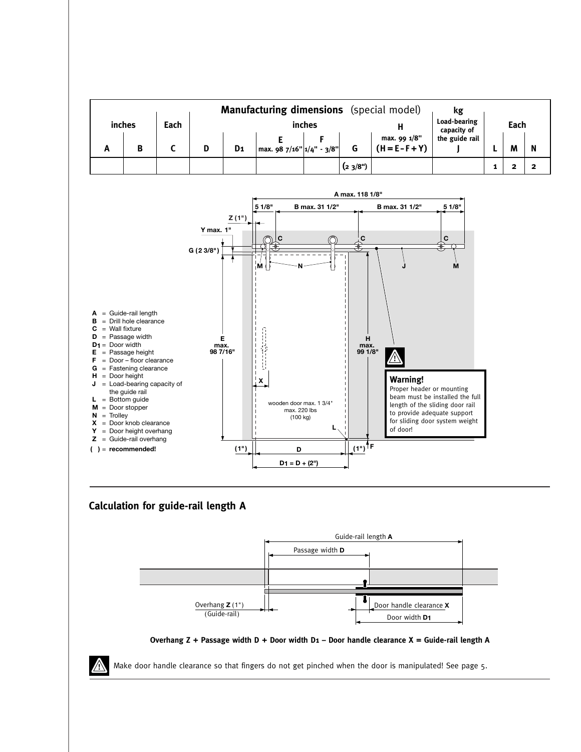| <b>Manufacturing dimensions</b> (special model) |        |      |  |                |                                            |  |        |                                   | kg                          |      |   |   |  |
|-------------------------------------------------|--------|------|--|----------------|--------------------------------------------|--|--------|-----------------------------------|-----------------------------|------|---|---|--|
|                                                 | inches | Each |  | inches         |                                            |  |        |                                   | Load-bearing<br>capacity of | Each |   |   |  |
| -                                               | B      |      |  | D <sub>1</sub> | $\left  \right $ max. 98 7/16" 1/4" - 3/8" |  |        | max. 99 1/8"<br>$(H = E - F + Y)$ | the guide rail              |      | M | N |  |
|                                                 |        |      |  |                |                                            |  | (23/8) |                                   |                             |      |   |   |  |



### **Calculation for guide-rail length A**





Make door handle clearance so that fingers do not get pinched when the door is manipulated! See page 5.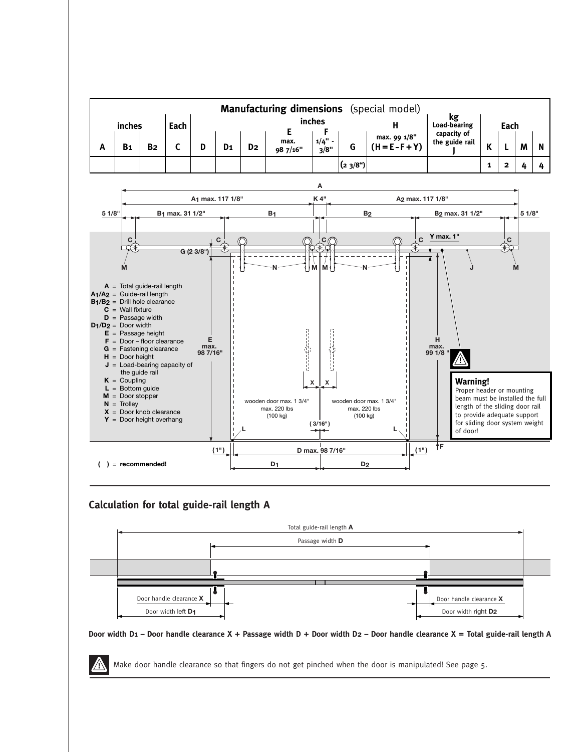



## **Calculation for total guide-rail length A**



#### Door width D1 - Door handle clearance X + Passage width D + Door width D2 - Door handle clearance X = Total guide-rail length A

Make door handle clearance so that fingers do not get pinched when the door is manipulated! See page 5.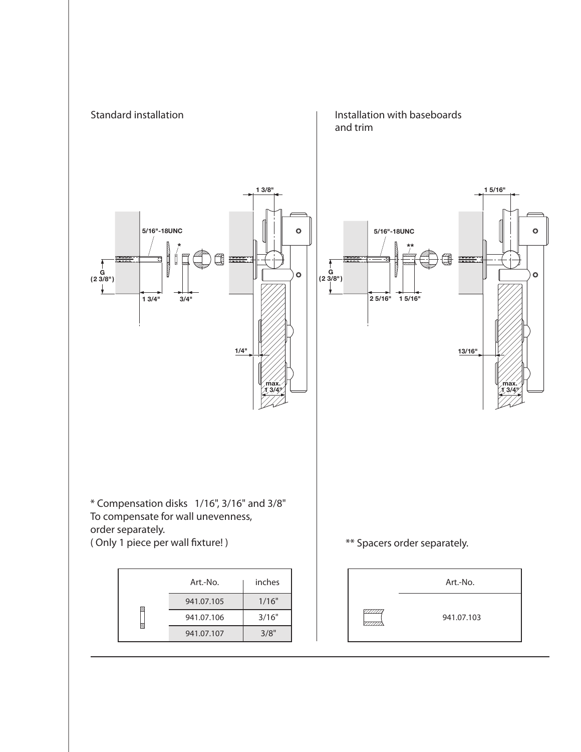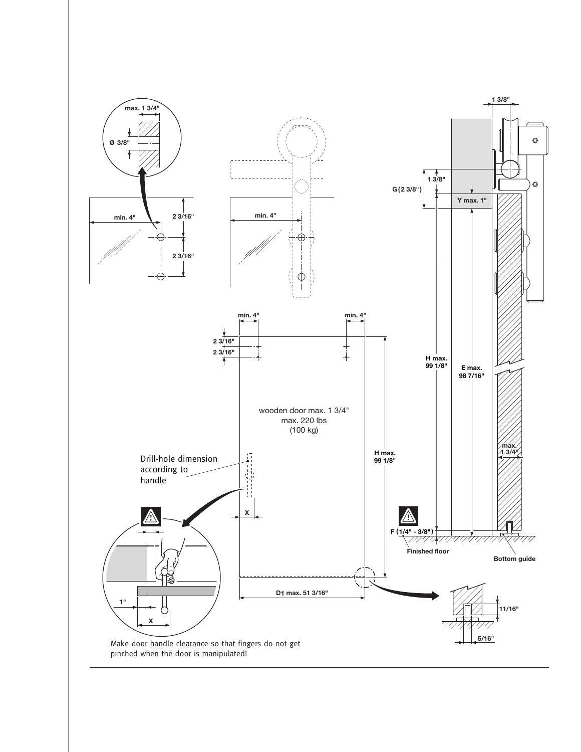